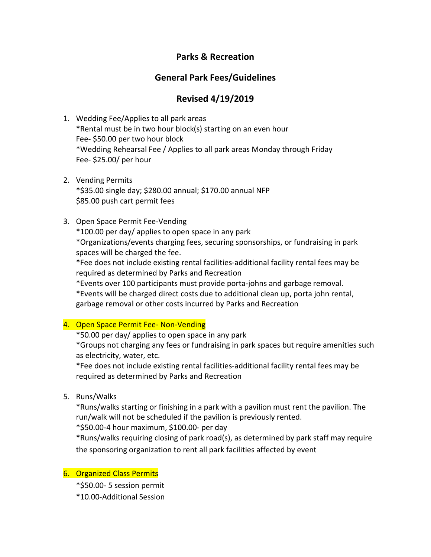# **Parks & Recreation**

# **General Park Fees/Guidelines**

# **Revised 4/19/2019**

- 1. Wedding Fee/Applies to all park areas \*Rental must be in two hour block(s) starting on an even hour Fee- \$50.00 per two hour block \*Wedding Rehearsal Fee / Applies to all park areas Monday through Friday Fee- \$25.00/ per hour
- 2. Vending Permits \*\$35.00 single day; \$280.00 annual; \$170.00 annual NFP \$85.00 push cart permit fees
- 3. Open Space Permit Fee-Vending

\*100.00 per day/ applies to open space in any park

\*Organizations/events charging fees, securing sponsorships, or fundraising in park spaces will be charged the fee.

\*Fee does not include existing rental facilities-additional facility rental fees may be required as determined by Parks and Recreation

\*Events over 100 participants must provide porta-johns and garbage removal.

\*Events will be charged direct costs due to additional clean up, porta john rental, garbage removal or other costs incurred by Parks and Recreation

### 4. Open Space Permit Fee- Non-Vending

\*50.00 per day/ applies to open space in any park

\*Groups not charging any fees or fundraising in park spaces but require amenities such as electricity, water, etc.

\*Fee does not include existing rental facilities-additional facility rental fees may be required as determined by Parks and Recreation

5. Runs/Walks

\*Runs/walks starting or finishing in a park with a pavilion must rent the pavilion. The run/walk will not be scheduled if the pavilion is previously rented.

\*\$50.00-4 hour maximum, \$100.00- per day

\*Runs/walks requiring closing of park road(s), as determined by park staff may require the sponsoring organization to rent all park facilities affected by event

#### 6. Organized Class Permits

- \*\$50.00- 5 session permit
- \*10.00-Additional Session